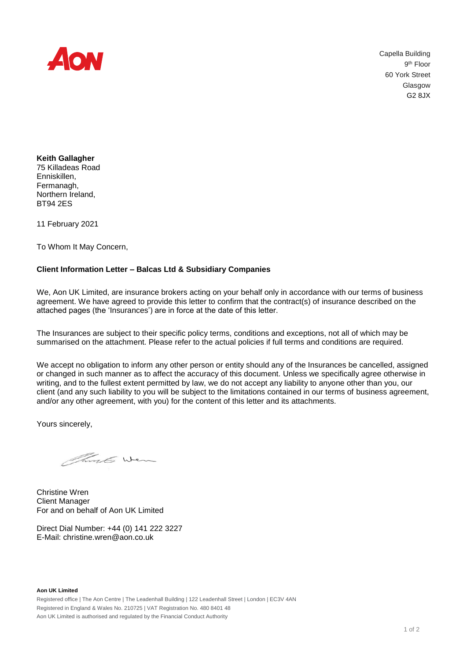

 Capella Building 9<sup>th</sup> Floor 60 York Street Glasgow G2 8JX

**Keith Gallagher** 75 Killadeas Road Enniskillen, Fermanagh, Northern Ireland, BT94 2ES

11 February 2021

To Whom It May Concern,

## **Client Information Letter – Balcas Ltd & Subsidiary Companies**

We, Aon UK Limited, are insurance brokers acting on your behalf only in accordance with our terms of business agreement. We have agreed to provide this letter to confirm that the contract(s) of insurance described on the attached pages (the 'Insurances') are in force at the date of this letter.

The Insurances are subject to their specific policy terms, conditions and exceptions, not all of which may be summarised on the attachment. Please refer to the actual policies if full terms and conditions are required.

We accept no obligation to inform any other person or entity should any of the Insurances be cancelled, assigned or changed in such manner as to affect the accuracy of this document. Unless we specifically agree otherwise in writing, and to the fullest extent permitted by law, we do not accept any liability to anyone other than you, our client (and any such liability to you will be subject to the limitations contained in our terms of business agreement, and/or any other agreement, with you) for the content of this letter and its attachments.

Yours sincerely,

Think Wen

Christine Wren Client Manager For and on behalf of Aon UK Limited

Direct Dial Number: +44 (0) 141 222 3227 E-Mail: [christine.wren@aon.co.uk](mailto:christine.wren@aon.co.uk)

**Aon UK Limited** Registered office | The Aon Centre | The Leadenhall Building | 122 Leadenhall Street | London | EC3V 4AN Registered in England & Wales No. 210725 | VAT Registration No. 480 8401 48 Aon UK Limited is authorised and regulated by the Financial Conduct Authority